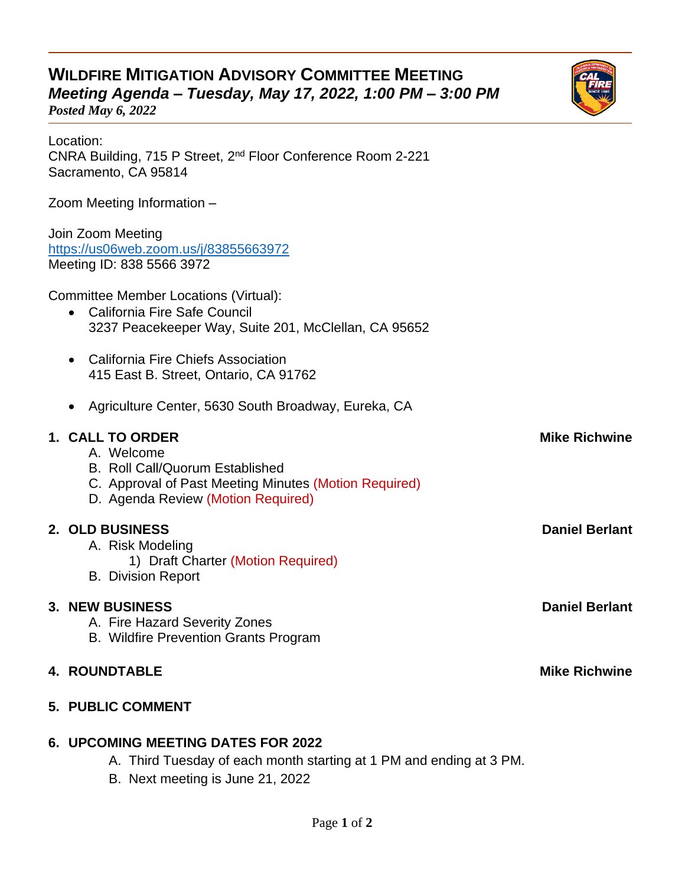## **WILDFIRE MITIGATION ADVISORY COMMITTEE MEETING** *Meeting Agenda – Tuesday, May 17, 2022, 1:00 PM – 3:00 PM*

*Posted May 6, 2022*

Location:

| CNRA Building, 715 P Street, 2 <sup>nd</sup> Floor Conference Room 2-221<br>Sacramento, CA 95814                                                                        |                       |
|-------------------------------------------------------------------------------------------------------------------------------------------------------------------------|-----------------------|
| Zoom Meeting Information -                                                                                                                                              |                       |
| Join Zoom Meeting<br>https://us06web.zoom.us/j/83855663972<br>Meeting ID: 838 5566 3972                                                                                 |                       |
| <b>Committee Member Locations (Virtual):</b><br>California Fire Safe Council<br>3237 Peacekeeper Way, Suite 201, McClellan, CA 95652                                    |                       |
| California Fire Chiefs Association<br>415 East B. Street, Ontario, CA 91762                                                                                             |                       |
| Agriculture Center, 5630 South Broadway, Eureka, CA                                                                                                                     |                       |
| 1. CALL TO ORDER<br>A. Welcome<br><b>B. Roll Call/Quorum Established</b><br>C. Approval of Past Meeting Minutes (Motion Required)<br>D. Agenda Review (Motion Required) | <b>Mike Richwine</b>  |
| 2. OLD BUSINESS<br>A. Risk Modeling<br>1) Draft Charter (Motion Required)<br><b>B.</b> Division Report                                                                  | <b>Daniel Berlant</b> |
| <b>3. NEW BUSINESS</b><br>A. Fire Hazard Severity Zones<br><b>B. Wildfire Prevention Grants Program</b>                                                                 | <b>Daniel Berlant</b> |
| <b>4. ROUNDTABLE</b>                                                                                                                                                    | <b>Mike Richwine</b>  |
| <b>5. PUBLIC COMMENT</b>                                                                                                                                                |                       |
| <b>6. UPCOMING MEETING DATES FOR 2022</b>                                                                                                                               |                       |

- A. Third Tuesday of each month starting at 1 PM and ending at 3 PM.
- B. Next meeting is June 21, 2022